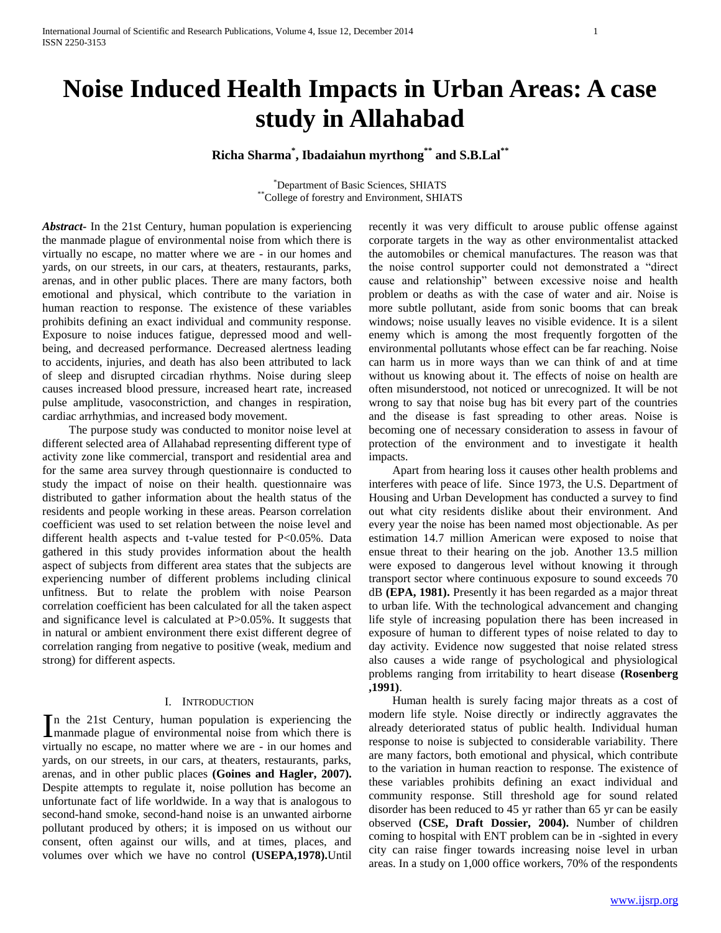# **Noise Induced Health Impacts in Urban Areas: A case study in Allahabad**

**Richa Sharma\* , Ibadaiahun myrthong\*\* and S.B.Lal\*\***

\*Department of Basic Sciences, SHIATS \*\*College of forestry and Environment, SHIATS

*Abstract***-** In the 21st Century, human population is experiencing the manmade plague of environmental noise from which there is virtually no escape, no matter where we are - in our homes and yards, on our streets, in our cars, at theaters, restaurants, parks, arenas, and in other public places. There are many factors, both emotional and physical, which contribute to the variation in human reaction to response. The existence of these variables prohibits defining an exact individual and community response. Exposure to noise induces fatigue, depressed mood and wellbeing, and decreased performance. Decreased alertness leading to accidents, injuries, and death has also been attributed to lack of sleep and disrupted circadian rhythms. Noise during sleep causes increased blood pressure, increased heart rate, increased pulse amplitude, vasoconstriction, and changes in respiration, cardiac arrhythmias, and increased body movement.

 The purpose study was conducted to monitor noise level at different selected area of Allahabad representing different type of activity zone like commercial, transport and residential area and for the same area survey through questionnaire is conducted to study the impact of noise on their health. questionnaire was distributed to gather information about the health status of the residents and people working in these areas. Pearson correlation coefficient was used to set relation between the noise level and different health aspects and t-value tested for P<0.05%. Data gathered in this study provides information about the health aspect of subjects from different area states that the subjects are experiencing number of different problems including clinical unfitness. But to relate the problem with noise Pearson correlation coefficient has been calculated for all the taken aspect and significance level is calculated at P>0.05%. It suggests that in natural or ambient environment there exist different degree of correlation ranging from negative to positive (weak, medium and strong) for different aspects.

# I. INTRODUCTION

n the 21st Century, human population is experiencing the In the 21st Century, human population is experiencing the manmade plague of environmental noise from which there is virtually no escape, no matter where we are - in our homes and yards, on our streets, in our cars, at theaters, restaurants, parks, arenas, and in other public places **(Goines and Hagler, 2007).** Despite attempts to regulate it, noise pollution has become an unfortunate fact of life worldwide. In a way that is analogous to second-hand smoke, second-hand noise is an unwanted airborne pollutant produced by others; it is imposed on us without our consent, often against our wills, and at times, places, and volumes over which we have no control **(USEPA,1978).**Until

recently it was very difficult to arouse public offense against corporate targets in the way as other environmentalist attacked the automobiles or chemical manufactures. The reason was that the noise control supporter could not demonstrated a "direct cause and relationship" between excessive noise and health problem or deaths as with the case of water and air. Noise is more subtle pollutant, aside from sonic booms that can break windows; noise usually leaves no visible evidence. It is a silent enemy which is among the most frequently forgotten of the environmental pollutants whose effect can be far reaching. Noise can harm us in more ways than we can think of and at time without us knowing about it. The effects of noise on health are often misunderstood, not noticed or unrecognized. It will be not wrong to say that noise bug has bit every part of the countries and the disease is fast spreading to other areas. Noise is becoming one of necessary consideration to assess in favour of protection of the environment and to investigate it health impacts.

 Apart from hearing loss it causes other health problems and interferes with peace of life. Since 1973, the U.S. Department of Housing and Urban Development has conducted a survey to find out what city residents dislike about their environment. And every year the noise has been named most objectionable. As per estimation 14.7 million American were exposed to noise that ensue threat to their hearing on the job. Another 13.5 million were exposed to dangerous level without knowing it through transport sector where continuous exposure to sound exceeds 70 dB **(EPA, 1981).** Presently it has been regarded as a major threat to urban life. With the technological advancement and changing life style of increasing population there has been increased in exposure of human to different types of noise related to day to day activity. Evidence now suggested that noise related stress also causes a wide range of psychological and physiological problems ranging from irritability to heart disease **(Rosenberg ,1991)**.

 Human health is surely facing major threats as a cost of modern life style. Noise directly or indirectly aggravates the already deteriorated status of public health. Individual human response to noise is subjected to considerable variability. There are many factors, both emotional and physical, which contribute to the variation in human reaction to response. The existence of these variables prohibits defining an exact individual and community response. Still threshold age for sound related disorder has been reduced to 45 yr rather than 65 yr can be easily observed **(CSE, Draft Dossier, 2004).** Number of children coming to hospital with ENT problem can be in -sighted in every city can raise finger towards increasing noise level in urban areas. In a study on 1,000 office workers, 70% of the respondents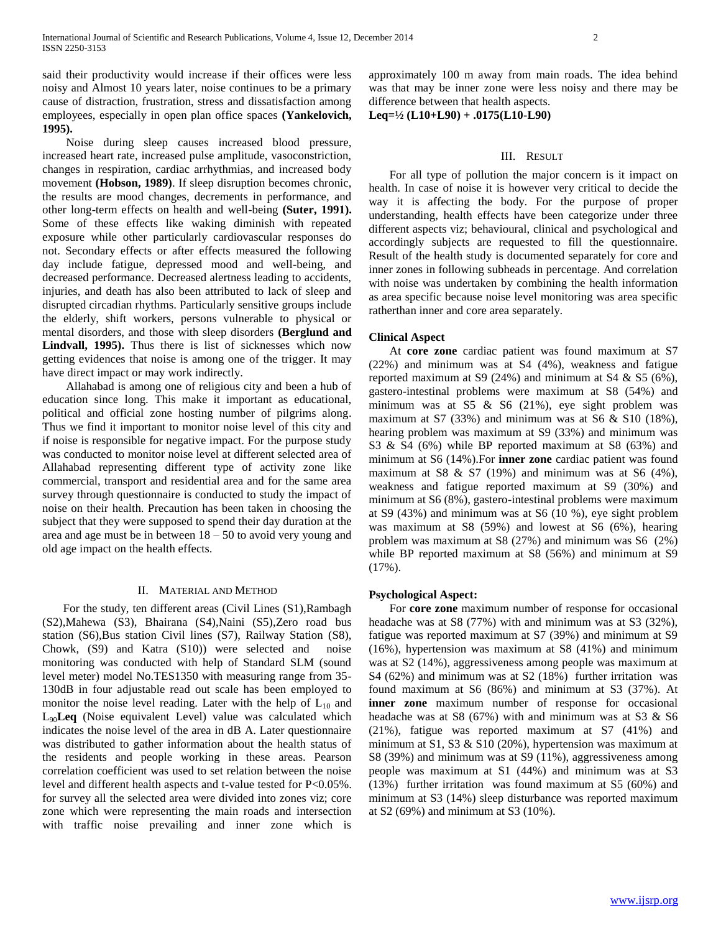said their productivity would increase if their offices were less noisy and Almost 10 years later, noise continues to be a primary cause of distraction, frustration, stress and dissatisfaction among employees, especially in open plan office spaces **(Yankelovich, 1995).**

 Noise during sleep causes increased blood pressure, increased heart rate, increased pulse amplitude, vasoconstriction, changes in respiration, cardiac arrhythmias, and increased body movement **(Hobson, 1989)**. If sleep disruption becomes chronic, the results are mood changes, decrements in performance, and other long-term effects on health and well-being **(Suter, 1991).**  Some of these effects like waking diminish with repeated exposure while other particularly cardiovascular responses do not. Secondary effects or after effects measured the following day include fatigue, depressed mood and well-being, and decreased performance. Decreased alertness leading to accidents, injuries, and death has also been attributed to lack of sleep and disrupted circadian rhythms. Particularly sensitive groups include the elderly, shift workers, persons vulnerable to physical or mental disorders, and those with sleep disorders **(Berglund and Lindvall, 1995).** Thus there is list of sicknesses which now getting evidences that noise is among one of the trigger. It may have direct impact or may work indirectly.

 Allahabad is among one of religious city and been a hub of education since long. This make it important as educational, political and official zone hosting number of pilgrims along. Thus we find it important to monitor noise level of this city and if noise is responsible for negative impact. For the purpose study was conducted to monitor noise level at different selected area of Allahabad representing different type of activity zone like commercial, transport and residential area and for the same area survey through questionnaire is conducted to study the impact of noise on their health. Precaution has been taken in choosing the subject that they were supposed to spend their day duration at the area and age must be in between  $18 - 50$  to avoid very young and old age impact on the health effects.

#### II. MATERIAL AND METHOD

 For the study, ten different areas (Civil Lines (S1),Rambagh (S2),Mahewa (S3), Bhairana (S4),Naini (S5),Zero road bus station (S6),Bus station Civil lines (S7), Railway Station (S8), Chowk, (S9) and Katra (S10)) were selected and noise monitoring was conducted with help of Standard SLM (sound level meter) model No.TES1350 with measuring range from 35- 130dB in four adjustable read out scale has been employed to monitor the noise level reading. Later with the help of  $L_{10}$  and L90**Leq** (Noise equivalent Level) value was calculated which indicates the noise level of the area in dB A. Later questionnaire was distributed to gather information about the health status of the residents and people working in these areas. Pearson correlation coefficient was used to set relation between the noise level and different health aspects and t-value tested for P<0.05%. for survey all the selected area were divided into zones viz; core zone which were representing the main roads and intersection with traffic noise prevailing and inner zone which is

approximately 100 m away from main roads. The idea behind was that may be inner zone were less noisy and there may be difference between that health aspects.

**Leq=½ (L10+L90) + .0175(L10-L90)**

#### III. RESULT

 For all type of pollution the major concern is it impact on health. In case of noise it is however very critical to decide the way it is affecting the body. For the purpose of proper understanding, health effects have been categorize under three different aspects viz; behavioural, clinical and psychological and accordingly subjects are requested to fill the questionnaire. Result of the health study is documented separately for core and inner zones in following subheads in percentage. And correlation with noise was undertaken by combining the health information as area specific because noise level monitoring was area specific ratherthan inner and core area separately.

### **Clinical Aspect**

 At **core zone** cardiac patient was found maximum at S7 (22%) and minimum was at S4 (4%), weakness and fatigue reported maximum at S9 (24%) and minimum at S4 & S5 (6%), gastero-intestinal problems were maximum at S8 (54%) and minimum was at S5 & S6 (21%), eye sight problem was maximum at S7 (33%) and minimum was at S6 & S10 (18%), hearing problem was maximum at S9 (33%) and minimum was S3 & S4 (6%) while BP reported maximum at S8 (63%) and minimum at S6 (14%).For **inner zone** cardiac patient was found maximum at S8  $\&$  S7 (19%) and minimum was at S6 (4%), weakness and fatigue reported maximum at S9 (30%) and minimum at S6 (8%), gastero-intestinal problems were maximum at S9 (43%) and minimum was at S6 (10 %), eye sight problem was maximum at S8 (59%) and lowest at S6 (6%), hearing problem was maximum at S8 (27%) and minimum was S6 (2%) while BP reported maximum at S8 (56%) and minimum at S9  $(17\%)$ .

#### **Psychological Aspect:**

 For **core zone** maximum number of response for occasional headache was at S8 (77%) with and minimum was at S3 (32%), fatigue was reported maximum at S7 (39%) and minimum at S9 (16%), hypertension was maximum at S8 (41%) and minimum was at S2 (14%), aggressiveness among people was maximum at S4 (62%) and minimum was at S2 (18%) further irritation was found maximum at S6 (86%) and minimum at S3 (37%). At **inner zone** maximum number of response for occasional headache was at S8 (67%) with and minimum was at S3 & S6 (21%), fatigue was reported maximum at S7 (41%) and minimum at S1, S3 & S10 (20%), hypertension was maximum at S8 (39%) and minimum was at S9 (11%), aggressiveness among people was maximum at S1 (44%) and minimum was at S3 (13%) further irritation was found maximum at S5 (60%) and minimum at S3 (14%) sleep disturbance was reported maximum at S2 (69%) and minimum at S3 (10%).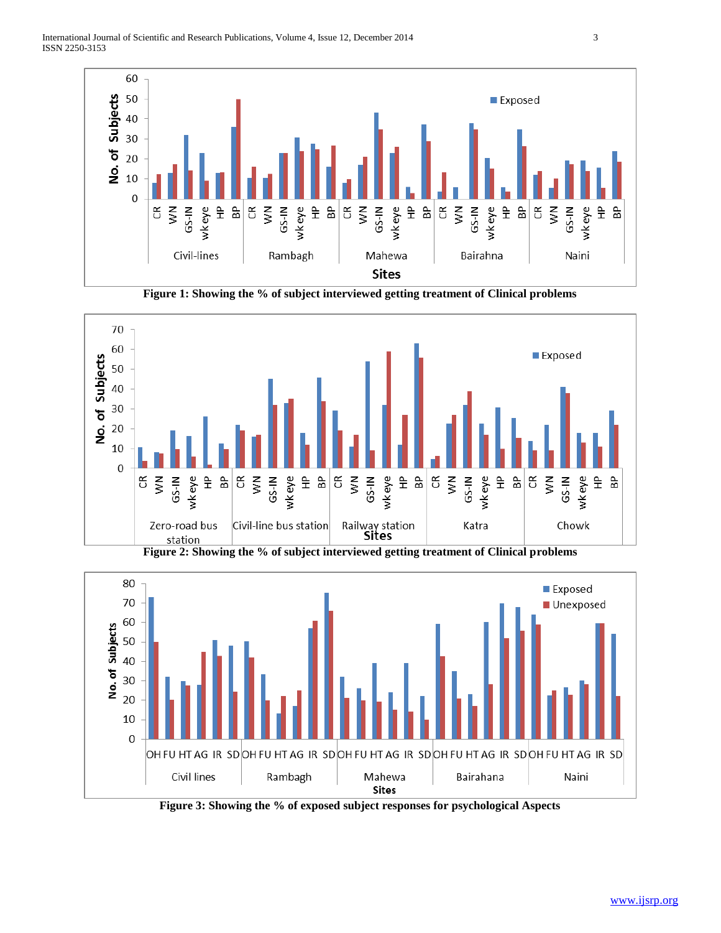

**Figure 1: Showing the % of subject interviewed getting treatment of Clinical problems**



**Figure 2: Showing the % of subject interviewed getting treatment of Clinical problems**



**Figure 3: Showing the % of exposed subject responses for psychological Aspects**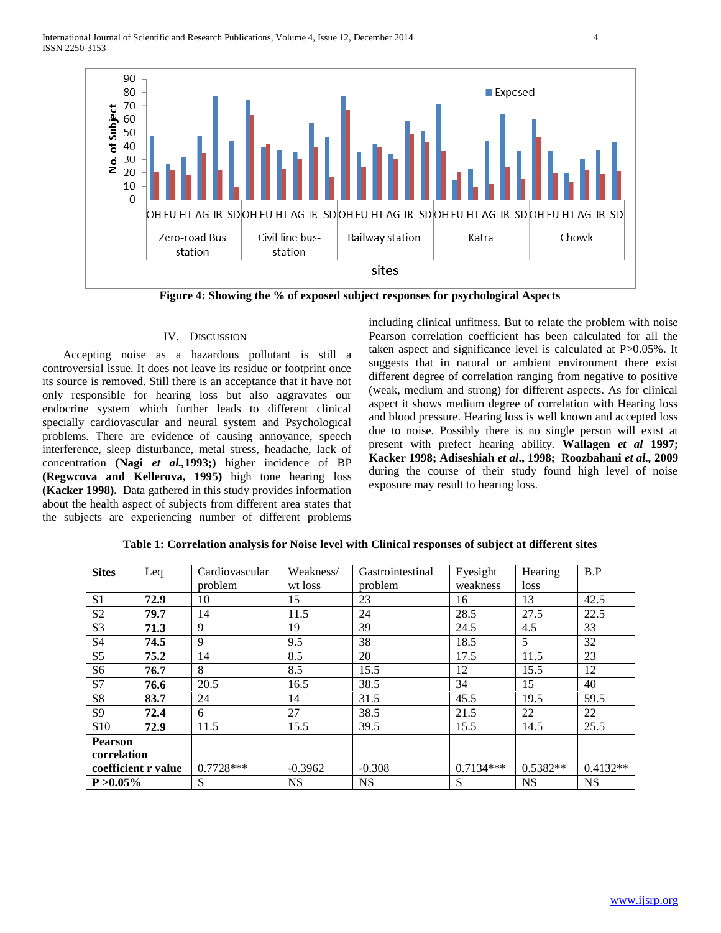

**Figure 4: Showing the % of exposed subject responses for psychological Aspects**

## IV. DISCUSSION

 Accepting noise as a hazardous pollutant is still a controversial issue. It does not leave its residue or footprint once its source is removed. Still there is an acceptance that it have not only responsible for hearing loss but also aggravates our endocrine system which further leads to different clinical specially cardiovascular and neural system and Psychological problems. There are evidence of causing annoyance, speech interference, sleep disturbance, metal stress, headache, lack of concentration **(Nagi** *et al.,***1993;)** higher incidence of BP **(Regwcova and Kellerova, 1995)** high tone hearing loss **(Kacker 1998).** Data gathered in this study provides information about the health aspect of subjects from different area states that the subjects are experiencing number of different problems

including clinical unfitness. But to relate the problem with noise Pearson correlation coefficient has been calculated for all the taken aspect and significance level is calculated at P>0.05%. It suggests that in natural or ambient environment there exist different degree of correlation ranging from negative to positive (weak, medium and strong) for different aspects. As for clinical aspect it shows medium degree of correlation with Hearing loss and blood pressure. Hearing loss is well known and accepted loss due to noise. Possibly there is no single person will exist at present with prefect hearing ability. **Wallagen** *et al* **1997; Kacker 1998; Adiseshiah** *et al***., 1998; Roozbahani** *et al.,* **2009** during the course of their study found high level of noise exposure may result to hearing loss.

| <b>Sites</b>        | Leq  | Cardiovascular | Weakness/ | Gastrointestinal | Eyesight    | Hearing    | B.P        |
|---------------------|------|----------------|-----------|------------------|-------------|------------|------------|
|                     |      | problem        | wt loss   | problem          | weakness    | loss       |            |
| S <sub>1</sub>      | 72.9 | 10             | 15        | 23               | 16          | 13         | 42.5       |
| S <sub>2</sub>      | 79.7 | 14             | 11.5      | 24               | 28.5        | 27.5       | 22.5       |
| S <sub>3</sub>      | 71.3 | 9              | 19        | 39               | 24.5        | 4.5        | 33         |
| S <sub>4</sub>      | 74.5 | 9              | 9.5       | 38               | 18.5        | 5          | 32         |
| S <sub>5</sub>      | 75.2 | 14             | 8.5       | 20               | 17.5        | 11.5       | 23         |
| S <sub>6</sub>      | 76.7 | 8              | 8.5       | 15.5             | 12          | 15.5       | 12         |
| S7                  | 76.6 | 20.5           | 16.5      | 38.5             | 34          | 15         | 40         |
| S <sub>8</sub>      | 83.7 | 24             | 14        | 31.5             | 45.5        | 19.5       | 59.5       |
| S9                  | 72.4 | 6              | 27        | 38.5             | 21.5        | 22         | 22         |
| S <sub>10</sub>     | 72.9 | 11.5           | 15.5      | 39.5             | 15.5        | 14.5       | 25.5       |
| <b>Pearson</b>      |      |                |           |                  |             |            |            |
| correlation         |      |                |           |                  |             |            |            |
| coefficient r value |      | $0.7728***$    | $-0.3962$ | $-0.308$         | $0.7134***$ | $0.5382**$ | $0.4132**$ |
| $P > 0.05\%$        |      | S              | <b>NS</b> | <b>NS</b>        | S           | <b>NS</b>  | <b>NS</b>  |

**Table 1: Correlation analysis for Noise level with Clinical responses of subject at different sites**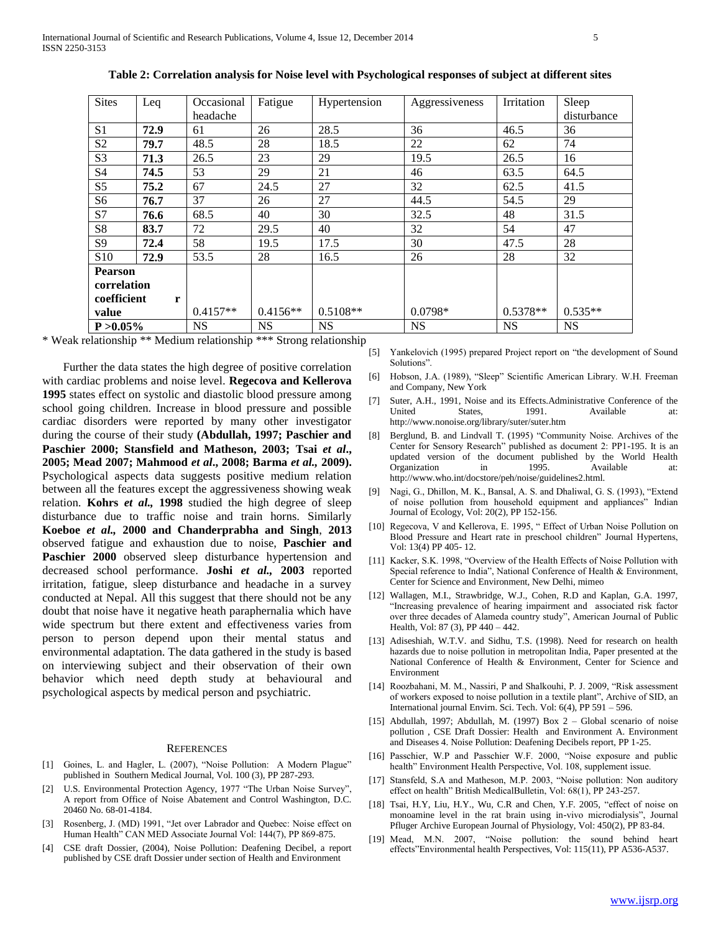| <b>Sites</b>     | Leq  | Occasional | Fatigue    | Hypertension | Aggressiveness | Irritation | Sleep       |
|------------------|------|------------|------------|--------------|----------------|------------|-------------|
|                  |      | headache   |            |              |                |            | disturbance |
| S <sub>1</sub>   | 72.9 | 61         | 26         | 28.5         | 36             | 46.5       | 36          |
| S <sub>2</sub>   | 79.7 | 48.5       | 28         | 18.5         | 22             | 62         | 74          |
| S <sub>3</sub>   | 71.3 | 26.5       | 23         | 29           | 19.5           | 26.5       | 16          |
| S <sub>4</sub>   | 74.5 | 53         | 29         | 21           | 46             | 63.5       | 64.5        |
| S <sub>5</sub>   | 75.2 | 67         | 24.5       | 27           | 32             | 62.5       | 41.5        |
| S6               | 76.7 | 37         | 26         | 27           | 44.5           | 54.5       | 29          |
| S7               | 76.6 | 68.5       | 40         | 30           | 32.5           | 48         | 31.5        |
| S8               | 83.7 | 72         | 29.5       | 40           | 32             | 54         | 47          |
| S <sub>9</sub>   | 72.4 | 58         | 19.5       | 17.5         | 30             | 47.5       | 28          |
| S <sub>10</sub>  | 72.9 | 53.5       | 28         | 16.5         | 26             | 28         | 32          |
| <b>Pearson</b>   |      |            |            |              |                |            |             |
| correlation      |      |            |            |              |                |            |             |
| coefficient<br>r |      |            |            |              |                |            |             |
| value            |      | $0.4157**$ | $0.4156**$ | $0.5108**$   | $0.0798*$      | $0.5378**$ | $0.535**$   |
| $P > 0.05\%$     |      | <b>NS</b>  | <b>NS</b>  | <b>NS</b>    | <b>NS</b>      | <b>NS</b>  | <b>NS</b>   |

**Table 2: Correlation analysis for Noise level with Psychological responses of subject at different sites**

\* Weak relationship \*\* Medium relationship \*\*\* Strong relationship

 Further the data states the high degree of positive correlation with cardiac problems and noise level. **Regecova and Kellerova 1995** states effect on systolic and diastolic blood pressure among school going children. Increase in blood pressure and possible cardiac disorders were reported by many other investigator during the course of their study **(Abdullah, 1997; Paschier and**  Paschier 2000; Stansfield and Matheson, 2003; Tsai et al., **2005; Mead 2007; Mahmood** *et al***., 2008; Barma** *et al.,* **2009).** Psychological aspects data suggests positive medium relation between all the features except the aggressiveness showing weak relation. **Kohrs** *et al.,* **1998** studied the high degree of sleep disturbance due to traffic noise and train horns. Similarly **Koeboe** *et al.,* **2000 and Chanderprabha and Singh**, **2013** observed fatigue and exhaustion due to noise, **Paschier and**  Paschier 2000 observed sleep disturbance hypertension and decreased school performance. **Joshi** *et al.,* **2003** reported irritation, fatigue, sleep disturbance and headache in a survey conducted at Nepal. All this suggest that there should not be any doubt that noise have it negative heath paraphernalia which have wide spectrum but there extent and effectiveness varies from person to person depend upon their mental status and environmental adaptation. The data gathered in the study is based on interviewing subject and their observation of their own behavior which need depth study at behavioural and psychological aspects by medical person and psychiatric.

#### **REFERENCES**

- [1] Goines, L. and Hagler, L. (2007), "Noise Pollution: A Modern Plague" published in Southern Medical Journal, Vol. 100 (3), PP 287-293.
- [2] U.S. Environmental Protection Agency, 1977 "The Urban Noise Survey" A report from Office of Noise Abatement and Control Washington, D.C. 20460 No. 68-01-4184.
- [3] Rosenberg, J. (MD) 1991, "Jet over Labrador and Quebec: Noise effect on Human Health" CAN MED Associate Journal Vol: 144(7), PP 869-875.
- [4] CSE draft Dossier, (2004), Noise Pollution: Deafening Decibel, a report published by CSE draft Dossier under section of Health and Environment
- [5] Yankelovich (1995) prepared Project report on "the development of Sound Solutions".
- [6] Hobson, J.A. (1989), "Sleep" Scientific American Library. W.H. Freeman and Company, New York
- [7] Suter, A.H., 1991, Noise and its Effects.Administrative Conference of the United States. 1991. Available at: http://www.nonoise.org/library/suter/suter.htm
- [8] Berglund, B. and Lindvall T. (1995) "Community Noise. Archives of the Center for Sensory Research" published as document 2: PP1-195. It is an updated version of the document published by the World Health Organization in 1995. Available at: http://www.who.int/docstore/peh/noise/guidelines2.html.
- [9] Nagi, G., Dhillon, M. K., Bansal, A. S. and Dhaliwal, G. S. (1993), "Extend of noise pollution from household equipment and appliances" Indian Journal of Ecology, Vol: 20(2), PP 152-156.
- [10] Regecova, V and Kellerova, E. 1995, " Effect of Urban Noise Pollution on Blood Pressure and Heart rate in preschool children" Journal Hypertens, Vol: 13(4) PP 405- 12.
- [11] Kacker, S.K. 1998. "Overview of the Health Effects of Noise Pollution with Special reference to India", National Conference of Health & Environment, Center for Science and Environment, New Delhi, mimeo
- [12] Wallagen, M.I., Strawbridge, W.J., Cohen, R.D and Kaplan, G.A. 1997, "Increasing prevalence of hearing impairment and associated risk factor over three decades of Alameda country study", American Journal of Public Health, Vol: 87 (3), PP 440 – 442.
- [13] Adiseshiah, W.T.V. and Sidhu, T.S. (1998). Need for research on health hazards due to noise pollution in metropolitan India, Paper presented at the National Conference of Health & Environment, Center for Science and Environment
- [14] Roozbahani, M. M., Nassiri, P and Shalkouhi, P. J. 2009, "Risk assessment of workers exposed to noise pollution in a textile plant", Archive of SID, an International journal Envirn. Sci. Tech. Vol: 6(4), PP 591 – 596.
- [15] Abdullah, 1997; Abdullah, M. (1997) Box  $2 -$  Global scenario of noise pollution , CSE Draft Dossier: Health and Environment A. Environment and Diseases 4. Noise Pollution: Deafening Decibels report, PP 1-25.
- [16] Passchier, W.P and Passchier W.F. 2000, "Noise exposure and public health" Environment Health Perspective, Vol. 108, supplement issue.
- [17] Stansfeld, S.A and Matheson, M.P. 2003, "Noise pollution: Non auditory effect on health" British MedicalBulletin, Vol: 68(1), PP 243-257.
- [18] Tsai, H.Y, Liu, H.Y., Wu, C.R and Chen, Y.F. 2005, "effect of noise on monoamine level in the rat brain using in-vivo microdialysis", Journal Pfluger Archive European Journal of Physiology, Vol: 450(2), PP 83-84.
- [19] Mead, M.N. 2007, "Noise pollution: the sound behind heart effects"Environmental health Perspectives, Vol: 115(11), PP A536-A537.